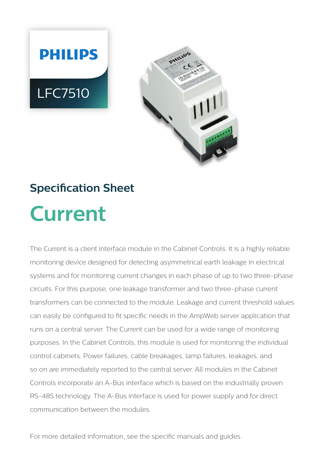



# **Specification Sheet Current**

The Current is a client interface module in the Cabinet Controls. It is a highly reliable monitoring device designed for detecting asymmetrical earth leakage in electrical systems and for monitoring current changes in each phase of up to two three-phase circuits. For this purpose, one leakage transformer and two three-phase current transformers can be connected to the module. Leakage and current threshold values can easily be configured to fit specific needs in the AmpWeb server application that runs on a central server. The Current can be used for a wide range of monitoring purposes. In the Cabinet Controls, this module is used for monitoring the individual control cabinets. Power failures, cable breakages, lamp failures, leakages, and so on are immediately reported to the central server. All modules in the Cabinet Controls incorporate an A-Bus interface which is based on the industrially proven RS-485 technology. The A-Bus interface is used for power supply and for direct communication between the modules.

For more detailed information, see the specific manuals and guides.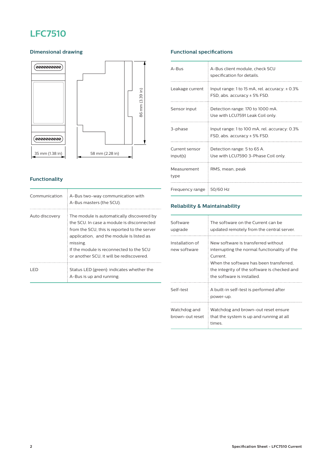# **LFC7510**

## **Dimensional drawing**



# **Functionality**

| Communication  | A-Bus two-way communication with<br>A-Bus masters (the SCU).                                                                                                                                                                                                                          |
|----------------|---------------------------------------------------------------------------------------------------------------------------------------------------------------------------------------------------------------------------------------------------------------------------------------|
| Auto discovery | The module is automatically discovered by<br>the SCU. In case a module is disconnected<br>from the SCU, this is reported to the server<br>application, and the module is listed as<br>missing.<br>If the module is reconnected to the SCU<br>or another SCU, it will be rediscovered. |
| I FD           | Status LED (green): indicates whether the<br>A-Bus is up and running.                                                                                                                                                                                                                 |

# **Functional specifications**

| $A - B \cup S$                         | A-Bus client module, check SCU<br>specification for details.                       |
|----------------------------------------|------------------------------------------------------------------------------------|
| Leakage current                        | Input range: 1 to 15 mA, rel. accuracy: $\pm$ 0.3%<br>FSD, abs. accuracy ± 5% FSD. |
| Sensor input                           | Detection range: 170 to 1000 mA.<br>Use with LCU7591 Leak Coil only.               |
| 3-phase                                | Input range: 1 to 100 mA, rel. accuracy: 0.3%<br>FSD, abs. accuracy ± 5% FSD.      |
| Current sensor<br>input(s)             | Detection range: 5 to 65 A.<br>Use with LCU7590 3-Phase Coil only.                 |
| Measurement<br>type                    | RMS, mean, peak                                                                    |
| Frequency range $\frac{1}{2}$ 50/60 Hz |                                                                                    |

## **Reliability & Maintainability**

| Software<br>upgrade             | The software on the Current can be<br>updated remotely from the central server.                                                                                                                                         |
|---------------------------------|-------------------------------------------------------------------------------------------------------------------------------------------------------------------------------------------------------------------------|
| Installation of<br>new software | New software is transferred without<br>interrupting the normal functionality of the<br>Current.<br>When the software has been transferred.<br>the integrity of the software is checked and<br>the software is installed |
| Self-test                       | A built-in self-test is performed after<br>power-up.                                                                                                                                                                    |
| Watchdog and<br>brown-out reset | Watchdog and brown-out reset ensure<br>that the system is up and running at all<br>times                                                                                                                                |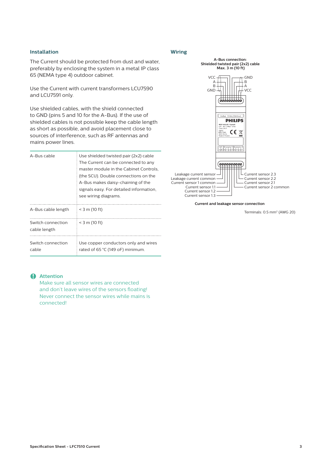#### **Installation**

The Current should be protected from dust and water, preferably by enclosing the system in a metal IP class 65 (NEMA type 4) outdoor cabinet.

Use the Current with current transformers LCU7590 and LCU7591 only.

Use shielded cables, with the shield connected to GND (pins 5 and 10 for the A-Bus). If the use of shielded cables is not possible keep the cable length as short as possible, and avoid placement close to sources of interference, such as RF antennas and mains power lines.

| A-Bus cable                       | Use shielded twisted pair (2x2) cable<br>The Current can be connected to any<br>master module in the Cabinet Controls.<br>(the SCU). Double connections on the<br>A-Bus makes daisy-chaining of the<br>signals easy. For detailed information,<br>see wiring diagrams. |
|-----------------------------------|------------------------------------------------------------------------------------------------------------------------------------------------------------------------------------------------------------------------------------------------------------------------|
| A-Bus cable length                | $=$ < 3 m (10 ft)                                                                                                                                                                                                                                                      |
| Switch connection<br>cable length | $<$ 3 m (10 ft)                                                                                                                                                                                                                                                        |
| Switch connection<br>cable        | Use copper conductors only and wires<br>rated of 65 °C (149 oF) minimum.                                                                                                                                                                                               |

#### **Wiring**



#### **Current and leakage sensor connection**

Terminals: 0.5 mm2 (AWG 20)

#### C **Attention**

Make sure all sensor wires are connected and don't leave wires of the sensors floating! Never connect the sensor wires while mains is connected!